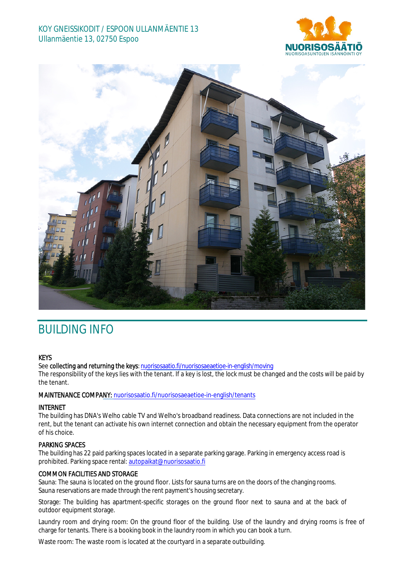## KOY GNEISSIKODIT / ESPOON ULLANMÄENTIE 13 Ullanmäentie 13, 02750 Espoo





# BUILDING INFO

#### **KEYS**

See collecting and returning the keys: n[uorisosaatio.fi/nuorisosaeaetioe](http://www.nuorisosaatio.fi/muuttajalle)-in-english/moving

The responsibility of the keys lies with the tenant. If a key is lost, the lock must be changed and the costs will be paid by the tenant.

#### MAINTENANCE COMPANY: [nuorisosaatio.fi/nuoriso](http://www.nuorisosaatio.fi/asukkaalle)saeaetioe-in-english/tenants

#### INTERNET

The building has DNA's Welho cable TV and Welho's broadband readiness. Data connections are not included in the rent, but the tenant can activate his own internet connection and obtain the necessary equipment from the operator of his choice.

### PARKING SPACES

The building has 22 paid parking spaces located in a separate parking garage. Parking in emergency access road is prohibited. Parking space rental: autopaikat@nuorisosaatio.fi

#### COMMON FACILITIES AND STORAGE

Sauna: The sauna is located on the ground floor. Lists for sauna turns are on the doors of the changing rooms. Sauna reservations are made through the rent payment's housing secretary.

Storage: The building has apartment-specific storages on the ground floor next to sauna and at the back of outdoor equipment storage.

Laundry room and drying room: On the ground floor of the building. Use of the laundry and drying rooms is free of charge for tenants. There is a booking book in the laundry room in which you can book a turn.

Waste room: The waste room is located at the courtyard in a separate outbuilding.